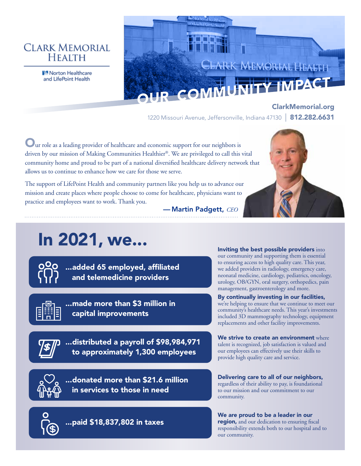## **CLARK MEMORIAL HEALTH**

**N** Norton Healthcare

# d Claint CLARK MEMORIAL HEALTH and LifePoint Health<br>
OUR COMMUNITY IMPACT

ClarkMemorial.org 1220 Missouri Avenue, Jeffersonville, Indiana 47130 | 812.282.6631

Our role as a leading provider of healthcare and economic support for our neighbors is driven by our mission of Making Communities Healthier®. We are privileged to call this vital community home and proud to be part of a national diversified healthcare delivery network that allows us to continue to enhance how we care for those we serve.

The support of LifePoint Health and community partners like you help us to advance our mission and create places where people choose to come for healthcare, physicians want to practice and employees want to work. Thank you.



— Martin Padgett, *CEO*

# In 2021, we...



...added 65 employed, affiliated and telemedicine providers



...made more than \$3 million in capital improvements

...distributed a payroll of \$98,984,971 to approximately 1,300 employees

> ...donated more than \$21.6 million in services to those in need

Inviting the best possible providers into our community and supporting them is essential to ensuring access to high quality care. This year, we added providers in radiology, emergency care, neonatal medicine, cardiology, pediatrics, oncology, urology, OB/GYN, oral surgery, orthopedics, pain management, gastroenterology and more.

#### By continually investing in our facilities, we're helping to ensure that we continue to meet our community's healthcare needs. This year's investments included 3D mammography technology, equipment replacements and other facility improvements.

We strive to create an environment where talent is recognized, job satisfaction is valued and our employees can effectively use their skills to provide high quality care and service.

Delivering care to all of our neighbors, regardless of their ability to pay, is foundational to our mission and our commitment to our community.

...paid \$18,837,802 in taxes

We are proud to be a leader in our region, and our dedication to ensuring fiscal responsibility extends both to our hospital and to our community.